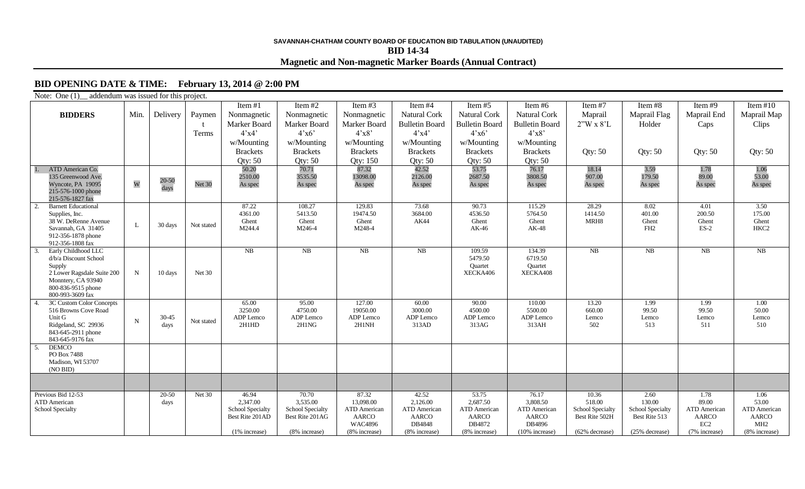## **SAVANNAH-CHATHAM COUNTY BOARD OF EDUCATION BID TABULATION (UNAUDITED) BID 14-34 Magnetic and Non-magnetic Marker Boards (Annual Contract)**

## **BID OPENING DATE & TIME: February 13, 2014 @ 2:00 PM**

| Note: One (1) addendum was issued for this project. |             |          |            |                                     |                                     |                              |                                     |                                     |                              |                                           |                                   |                                     |                                     |
|-----------------------------------------------------|-------------|----------|------------|-------------------------------------|-------------------------------------|------------------------------|-------------------------------------|-------------------------------------|------------------------------|-------------------------------------------|-----------------------------------|-------------------------------------|-------------------------------------|
|                                                     |             |          |            | Item #1                             | Item #2                             | Item $#3$                    | Item #4                             | Item#5                              | Item $#6$                    | Item #7                                   | Item $#8$                         | Item $#9$                           | Item $#10$                          |
| <b>BIDDERS</b>                                      | Min.        | Delivery | Paymen     | Nonmagnetic                         | Nonmagnetic                         | Nonmagnetic                  | Natural Cork                        | Natural Cork                        | <b>Natural Cork</b>          | Maprail                                   | Maprail Flag                      | Maprail End                         | Maprail Map                         |
|                                                     |             |          |            | Marker Board                        | Marker Board                        | Marker Board                 | <b>Bulletin Board</b>               | <b>Bulletin Board</b>               | <b>Bulletin Board</b>        | $2''W \times 8'L$                         | Holder                            | Caps                                | Clips                               |
|                                                     |             |          | Terms      | 4'x4'                               | 4'x6'                               | 4'x8'                        | 4'x4'                               | 4'x6'                               | 4'x8'                        |                                           |                                   |                                     |                                     |
|                                                     |             |          |            | w/Mounting                          | w/Mounting                          | w/Mounting                   | w/Mounting                          | w/Mounting                          | w/Mounting                   |                                           |                                   |                                     |                                     |
|                                                     |             |          |            | <b>Brackets</b>                     | <b>Brackets</b>                     | <b>Brackets</b>              | <b>Brackets</b>                     | <b>Brackets</b>                     | <b>Brackets</b>              | Qty: $50$                                 | Qty: $50$                         | Qty: 50                             | <b>Qty: 50</b>                      |
|                                                     |             |          |            | Qty: $50$                           | <b>Qty: 50</b>                      | Qty: 150                     | Qty: $50$                           | Qty: 50                             | <b>Qty: 50</b>               |                                           |                                   |                                     |                                     |
| ATD American Co.                                    |             |          |            | 50.20                               | 70.71                               | 87.32                        | 42.52                               | 53.75                               | 76.17                        | 18.14                                     | 3.59                              | 1.78                                | 1.06                                |
| 135 Greenwood Ave.                                  |             | 20-50    |            | 2510.00                             | 3535.50                             | 13098.00                     | 2126.00                             | 2687.50                             | 3808.50                      | 907.00                                    | 179.50                            | 89.00                               | 53.00                               |
| Wyncote, PA 19095<br>215-576-1000 phone             | W           | days     | Net 30     | As spec                             | As spec                             | As spec                      | As spec                             | As spec                             | As spec                      | As spec                                   | As spec                           | As spec                             | As spec                             |
| 215-576-1827 fax                                    |             |          |            |                                     |                                     |                              |                                     |                                     |                              |                                           |                                   |                                     |                                     |
| <b>Barnett Educational</b><br>2.                    |             |          |            | 87.22                               | 108.27                              | 129.83                       | 73.68                               | 90.73                               | 115.29                       | 28.29                                     | 8.02                              | 4.01                                | 3.50                                |
| Supplies, Inc.                                      |             |          |            | 4361.00                             | 5413.50                             | 19474.50                     | 3684.00                             | 4536.50                             | 5764.50                      | 1414.50                                   | 401.00                            | 200.50                              | 175.00                              |
| 38 W. DeRenne Avenue<br>Savannah, GA 31405          | L           | 30 days  | Not stated | Ghent<br>M244.4                     | Ghent<br>M246-4                     | Ghent<br>M248-4              | AK44                                | Ghent                               | Ghent<br>$AK-48$             | MRH <sub>8</sub>                          | Ghent<br>FH <sub>2</sub>          | Ghent<br>$ES-2$                     | Ghent<br>HKC <sub>2</sub>           |
| 912-356-1878 phone                                  |             |          |            |                                     |                                     |                              |                                     | AK-46                               |                              |                                           |                                   |                                     |                                     |
| 912-356-1808 fax                                    |             |          |            |                                     |                                     |                              |                                     |                                     |                              |                                           |                                   |                                     |                                     |
| Early Childhood LLC<br>3                            |             |          |            | N <sub>B</sub>                      | NB                                  | NB                           | NB                                  | 109.59                              | 134.39                       | NB                                        | NB                                | NB                                  | NB                                  |
| d/b/a Discount School                               |             |          |            |                                     |                                     |                              |                                     | 5479.50                             | 6719.50                      |                                           |                                   |                                     |                                     |
| Supply<br>2 Lower Ragsdale Suite 200                | $\mathbf N$ | 10 days  | Net 30     |                                     |                                     |                              |                                     | Quartet<br>XECKA406                 | Quartet<br>XECKA408          |                                           |                                   |                                     |                                     |
| Monntery, CA 93940                                  |             |          |            |                                     |                                     |                              |                                     |                                     |                              |                                           |                                   |                                     |                                     |
| 800-836-9515 phone                                  |             |          |            |                                     |                                     |                              |                                     |                                     |                              |                                           |                                   |                                     |                                     |
| 800-993-3609 fax                                    |             |          |            |                                     |                                     |                              |                                     |                                     |                              |                                           |                                   |                                     |                                     |
| 3C Custom Color Concepts<br>516 Browns Cove Road    |             |          |            | 65.00<br>3250.00                    | 95.00<br>4750.00                    | 127.00<br>19050.00           | 60.00<br>3000.00                    | 90.00<br>4500.00                    | 110.00<br>5500.00            | 13.20<br>660.00                           | 1.99<br>99.50                     | 1.99<br>99.50                       | 1.00<br>50.00                       |
| Unit G                                              |             | 30-45    |            | ADP Lemco                           | ADP Lemco                           | ADP Lemco                    | ADP Lemco                           | ADP Lemco                           | ADP Lemco                    | Lemco                                     | Lemco                             | Lemco                               | Lemco                               |
| Ridgeland, SC 29936                                 | $\mathbf N$ | days     | Not stated | 2H1HD                               | 2H1NG                               | 2H1NH                        | 313AD                               | 313AG                               | 313AH                        | 502                                       | 513                               | 511                                 | 510                                 |
| 843-645-2911 phone                                  |             |          |            |                                     |                                     |                              |                                     |                                     |                              |                                           |                                   |                                     |                                     |
| 843-645-9176 fax<br><b>DEMCO</b>                    |             |          |            |                                     |                                     |                              |                                     |                                     |                              |                                           |                                   |                                     |                                     |
| -5.<br>PO Box 7488                                  |             |          |            |                                     |                                     |                              |                                     |                                     |                              |                                           |                                   |                                     |                                     |
| Madison, WI 53707                                   |             |          |            |                                     |                                     |                              |                                     |                                     |                              |                                           |                                   |                                     |                                     |
| (NO BID)                                            |             |          |            |                                     |                                     |                              |                                     |                                     |                              |                                           |                                   |                                     |                                     |
|                                                     |             |          |            |                                     |                                     |                              |                                     |                                     |                              |                                           |                                   |                                     |                                     |
| Previous Bid 12-53                                  |             | $20-50$  | Net $30$   | 46.94                               | 70.70                               | 87.32                        | 42.52                               | 53.75                               | 76.17                        | 10.36                                     | 2.60                              | 1.78                                | 1.06                                |
| <b>ATD</b> American                                 |             | days     |            | 2,347.00                            | 3,535.00                            | 13,098.00                    | 2,126.00                            | 2.687.50                            | 3.808.50                     | 518.00                                    | 130.00                            | 89.00                               | 53.00                               |
| <b>School Specialty</b>                             |             |          |            | School Specialty<br>Best Rite 201AD | School Specialty<br>Best Rite 201AG | <b>ATD</b> American<br>AARCO | <b>ATD</b> American<br><b>AARCO</b> | <b>ATD</b> American<br><b>AARCO</b> | <b>ATD</b> American<br>AARCO | <b>School Specialty</b><br>Best Rite 502H | School Specialty<br>Best Rite 513 | <b>ATD</b> American<br><b>AARCO</b> | <b>ATD</b> American<br><b>AARCO</b> |
|                                                     |             |          |            |                                     |                                     | <b>WAC4896</b>               | DB4848                              | DB4872                              | DB4896                       |                                           |                                   | EC <sub>2</sub>                     | MH <sub>2</sub>                     |
|                                                     |             |          |            | (1% increase)                       | (8% increase)                       | (8% increase)                | (8% increase)                       | (8% increase)                       | (10% increase)               | (62% decrease)                            | (25% decrease)                    | (7% increase)                       | (8% increase)                       |